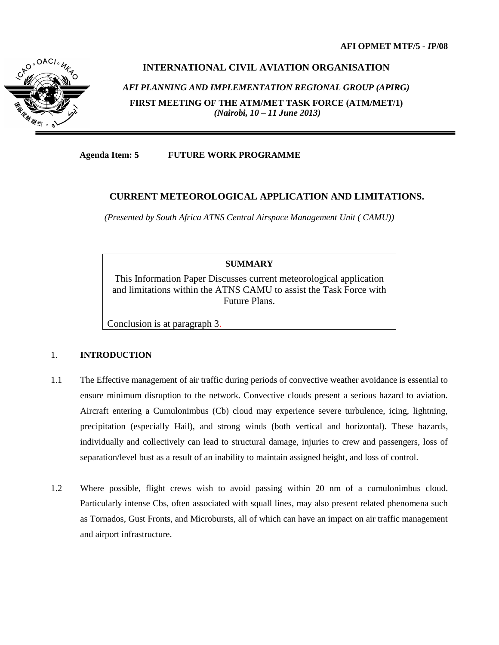

# **INTERNATIONAL CIVIL AVIATION ORGANISATION**

*AFI PLANNING AND IMPLEMENTATION REGIONAL GROUP (APIRG)* **FIRST MEETING OF THE ATM/MET TASK FORCE (ATM/MET/1)** *(Nairobi, 10 – 11 June 2013)*

**Agenda Item: 5 FUTURE WORK PROGRAMME**

## **CURRENT METEOROLOGICAL APPLICATION AND LIMITATIONS.**

*(Presented by South Africa ATNS Central Airspace Management Unit ( CAMU))*

## **SUMMARY**

This Information Paper Discusses current meteorological application and limitations within the ATNS CAMU to assist the Task Force with Future Plans.

Conclusion is at paragraph 3.

### 1. **INTRODUCTION**

- 1.1 The Effective management of air traffic during periods of convective weather avoidance is essential to ensure minimum disruption to the network. Convective clouds present a serious hazard to aviation. Aircraft entering a Cumulonimbus (Cb) cloud may experience severe turbulence, icing, lightning, precipitation (especially Hail), and strong winds (both vertical and horizontal). These hazards, individually and collectively can lead to structural damage, injuries to crew and passengers, loss of separation/level bust as a result of an inability to maintain assigned height, and loss of control.
- 1.2 Where possible, flight crews wish to avoid passing within 20 nm of a cumulonimbus cloud. Particularly intense Cbs, often associated with squall lines, may also present related phenomena such as Tornados, Gust Fronts, and Microbursts, all of which can have an impact on air traffic management and airport infrastructure.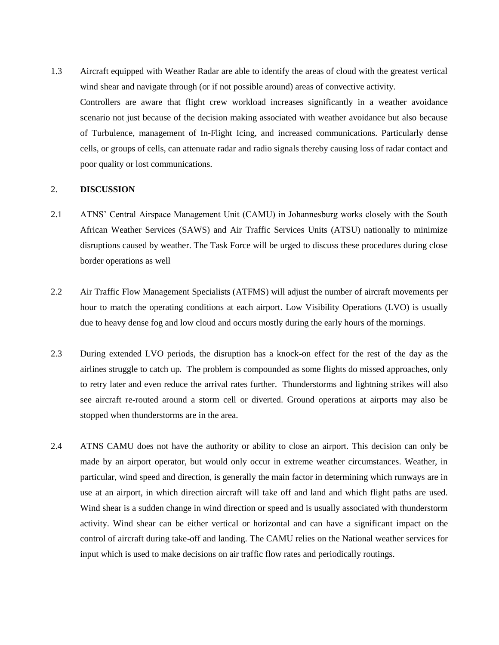1.3 Aircraft equipped with Weather Radar are able to identify the areas of cloud with the greatest vertical wind shear and navigate through (or if not possible around) areas of convective activity. Controllers are aware that flight crew workload increases significantly in a weather avoidance scenario not just because of the decision making associated with weather avoidance but also because of Turbulence, management of In-Flight Icing, and increased communications. Particularly dense cells, or groups of cells, can attenuate radar and radio signals thereby causing loss of radar contact and poor quality or lost communications.

#### 2. **DISCUSSION**

- 2.1 ATNS' Central Airspace Management Unit (CAMU) in Johannesburg works closely with the South African Weather Services (SAWS) and Air Traffic Services Units (ATSU) nationally to minimize disruptions caused by weather. The Task Force will be urged to discuss these procedures during close border operations as well
- 2.2 Air Traffic Flow Management Specialists (ATFMS) will adjust the number of aircraft movements per hour to match the operating conditions at each airport. Low Visibility Operations (LVO) is usually due to heavy dense fog and low cloud and occurs mostly during the early hours of the mornings.
- 2.3 During extended LVO periods, the disruption has a knock-on effect for the rest of the day as the airlines struggle to catch up. The problem is compounded as some flights do missed approaches, only to retry later and even reduce the arrival rates further. Thunderstorms and lightning strikes will also see aircraft re-routed around a storm cell or diverted. Ground operations at airports may also be stopped when thunderstorms are in the area.
- 2.4 ATNS CAMU does not have the authority or ability to close an airport. This decision can only be made by an airport operator, but would only occur in extreme weather circumstances. Weather, in particular, wind speed and direction, is generally the main factor in determining which runways are in use at an airport, in which direction aircraft will take off and land and which flight paths are used. Wind shear is a sudden change in wind direction or speed and is usually associated with thunderstorm activity. Wind shear can be either vertical or horizontal and can have a significant impact on the control of aircraft during take-off and landing. The CAMU relies on the National weather services for input which is used to make decisions on air traffic flow rates and periodically routings.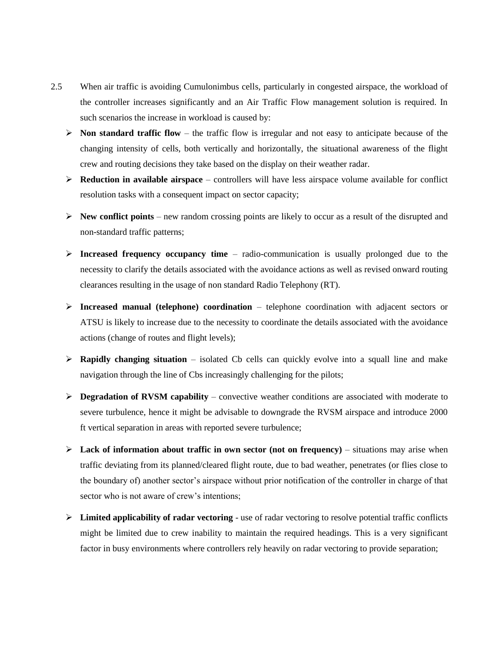- 2.5 When air traffic is avoiding Cumulonimbus cells, particularly in congested airspace, the workload of the controller increases significantly and an Air Traffic Flow management solution is required. In such scenarios the increase in workload is caused by:
	- $\triangleright$  **Non standard traffic flow –** the traffic flow is irregular and not easy to anticipate because of the changing intensity of cells, both vertically and horizontally, the situational awareness of the flight crew and routing decisions they take based on the display on their weather radar.
	- $\triangleright$  **Reduction in available airspace** controllers will have less airspace volume available for conflict resolution tasks with a consequent impact on sector capacity;
	- $\triangleright$  **New conflict points** new random crossing points are likely to occur as a result of the disrupted and non-standard traffic patterns;
	- **Increased frequency occupancy time**  $-$  radio-communication is usually prolonged due to the necessity to clarify the details associated with the avoidance actions as well as revised onward routing clearances resulting in the usage of non standard Radio Telephony (RT).
	- **Increased manual (telephone) coordination**  telephone coordination with adjacent sectors or ATSU is likely to increase due to the necessity to coordinate the details associated with the avoidance actions (change of routes and flight levels);
	- **Rapidly changing situation** isolated Cb cells can quickly evolve into a squall line and make navigation through the line of Cbs increasingly challenging for the pilots;
	- **Degradation of RVSM capability** convective weather conditions are associated with moderate to severe turbulence, hence it might be advisable to downgrade the RVSM airspace and introduce 2000 ft vertical separation in areas with reported severe turbulence;
	- $\triangleright$  Lack of information about traffic in own sector (not on frequency) situations may arise when traffic deviating from its planned/cleared flight route, due to bad weather, penetrates (or flies close to the boundary of) another sector's airspace without prior notification of the controller in charge of that sector who is not aware of crew's intentions;
	- **Limited applicability of radar vectoring**  use of radar vectoring to resolve potential traffic conflicts might be limited due to crew inability to maintain the required headings. This is a very significant factor in busy environments where controllers rely heavily on radar vectoring to provide separation;